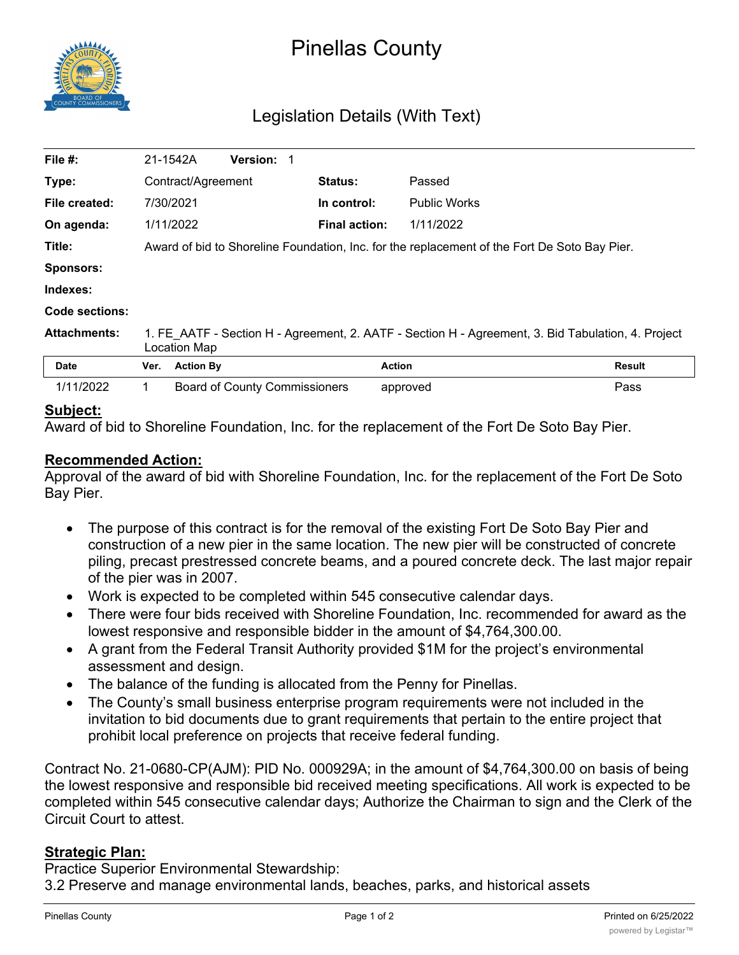

# Pinellas County

# Legislation Details (With Text)

| File $#$ :          |                                                                                                                    | 21-1542A                                                                                     | <b>Version: 1</b>                    |  |                      |                     |        |  |
|---------------------|--------------------------------------------------------------------------------------------------------------------|----------------------------------------------------------------------------------------------|--------------------------------------|--|----------------------|---------------------|--------|--|
| Type:               | Contract/Agreement                                                                                                 |                                                                                              |                                      |  | <b>Status:</b>       | Passed              |        |  |
| File created:       |                                                                                                                    | 7/30/2021                                                                                    |                                      |  | In control:          | <b>Public Works</b> |        |  |
| On agenda:          |                                                                                                                    | 1/11/2022                                                                                    |                                      |  | <b>Final action:</b> | 1/11/2022           |        |  |
| Title:              |                                                                                                                    | Award of bid to Shoreline Foundation, Inc. for the replacement of the Fort De Soto Bay Pier. |                                      |  |                      |                     |        |  |
| <b>Sponsors:</b>    |                                                                                                                    |                                                                                              |                                      |  |                      |                     |        |  |
| Indexes:            |                                                                                                                    |                                                                                              |                                      |  |                      |                     |        |  |
| Code sections:      |                                                                                                                    |                                                                                              |                                      |  |                      |                     |        |  |
| <b>Attachments:</b> | 1. FE AATF - Section H - Agreement, 2. AATF - Section H - Agreement, 3. Bid Tabulation, 4. Project<br>Location Map |                                                                                              |                                      |  |                      |                     |        |  |
| Date                | Ver.                                                                                                               | <b>Action By</b>                                                                             |                                      |  |                      | <b>Action</b>       | Result |  |
| 1/11/2022           | 1.                                                                                                                 |                                                                                              | <b>Board of County Commissioners</b> |  |                      | approved            | Pass   |  |
|                     |                                                                                                                    |                                                                                              |                                      |  |                      |                     |        |  |

## **Subject:**

Award of bid to Shoreline Foundation, Inc. for the replacement of the Fort De Soto Bay Pier.

## **Recommended Action:**

Approval of the award of bid with Shoreline Foundation, Inc. for the replacement of the Fort De Soto Bay Pier.

- · The purpose of this contract is for the removal of the existing Fort De Soto Bay Pier and construction of a new pier in the same location. The new pier will be constructed of concrete piling, precast prestressed concrete beams, and a poured concrete deck. The last major repair of the pier was in 2007.
- · Work is expected to be completed within 545 consecutive calendar days.
- · There were four bids received with Shoreline Foundation, Inc. recommended for award as the lowest responsive and responsible bidder in the amount of \$4,764,300.00.
- · A grant from the Federal Transit Authority provided \$1M for the project's environmental assessment and design.
- The balance of the funding is allocated from the Penny for Pinellas.
- The County's small business enterprise program requirements were not included in the invitation to bid documents due to grant requirements that pertain to the entire project that prohibit local preference on projects that receive federal funding.

Contract No. 21-0680-CP(AJM): PID No. 000929A; in the amount of \$4,764,300.00 on basis of being the lowest responsive and responsible bid received meeting specifications. All work is expected to be completed within 545 consecutive calendar days; Authorize the Chairman to sign and the Clerk of the Circuit Court to attest.

#### **Strategic Plan:**

Practice Superior Environmental Stewardship:

3.2 Preserve and manage environmental lands, beaches, parks, and historical assets